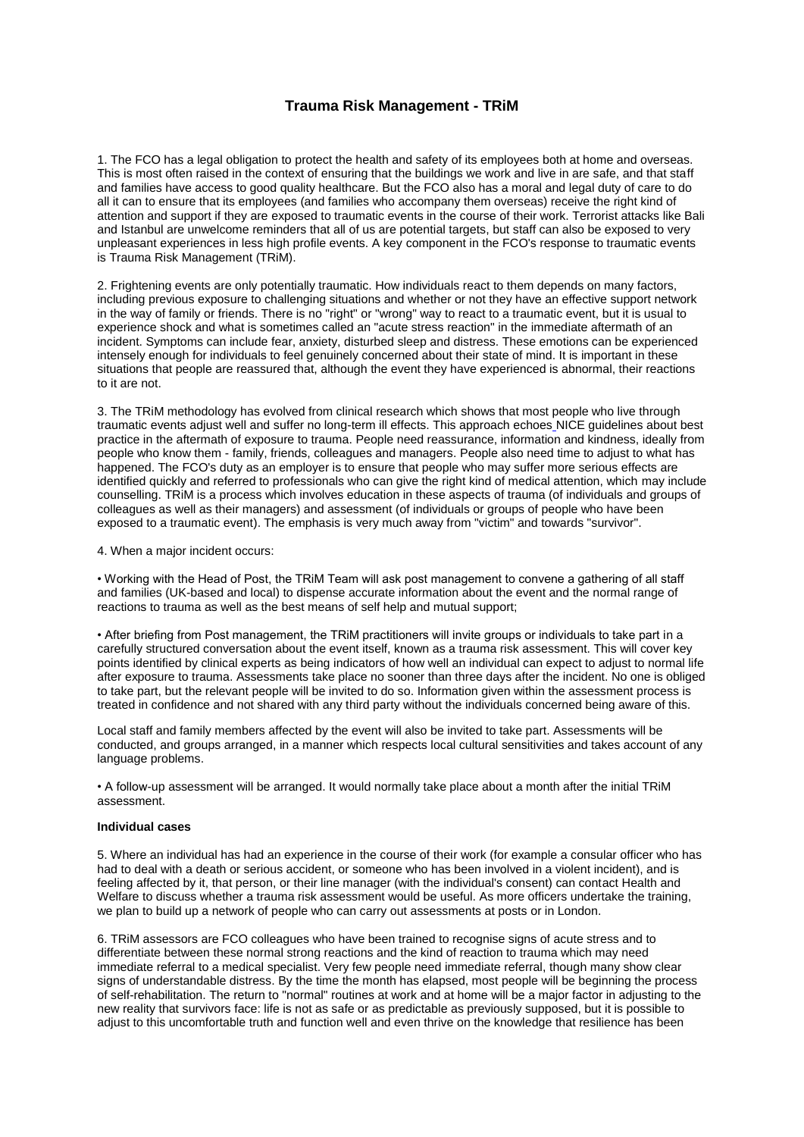## **Trauma Risk Management - TRiM**

1. The FCO has a legal obligation to protect the health and safety of its employees both at home and overseas. This is most often raised in the context of ensuring that the buildings we work and live in are safe, and that staff and families have access to good quality healthcare. But the FCO also has a moral and legal duty of care to do all it can to ensure that its employees (and families who accompany them overseas) receive the right kind of attention and support if they are exposed to traumatic events in the course of their work. Terrorist attacks like Bali and Istanbul are unwelcome reminders that all of us are potential targets, but staff can also be exposed to very unpleasant experiences in less high profile events. A key component in the FCO's response to traumatic events is Trauma Risk Management (TRiM).

2. Frightening events are only potentially traumatic. How individuals react to them depends on many factors, including previous exposure to challenging situations and whether or not they have an effective support network in the way of family or friends. There is no "right" or "wrong" way to react to a traumatic event, but it is usual to experience shock and what is sometimes called an "acute stress reaction" in the immediate aftermath of an incident. Symptoms can include fear, anxiety, disturbed sleep and distress. These emotions can be experienced intensely enough for individuals to feel genuinely concerned about their state of mind. It is important in these situations that people are reassured that, although the event they have experienced is abnormal, their reactions to it are not.

3. The TRiM methodology has evolved from clinical research which shows that most people who live through traumatic events adjust well and suffer no long-term ill effects. This approach echoes NICE guidelines about best practice in the aftermath of exposure to trauma. People need reassurance, information and kindness, ideally from people who know them - family, friends, colleagues and managers. People also need time to adjust to what has happened. The FCO's duty as an employer is to ensure that people who may suffer more serious effects are identified quickly and referred to professionals who can give the right kind of medical attention, which may include counselling. TRiM is a process which involves education in these aspects of trauma (of individuals and groups of colleagues as well as their managers) and assessment (of individuals or groups of people who have been exposed to a traumatic event). The emphasis is very much away from "victim" and towards "survivor".

4. When a major incident occurs:

• Working with the Head of Post, the TRiM Team will ask post management to convene a gathering of all staff and families (UK-based and local) to dispense accurate information about the event and the normal range of reactions to trauma as well as the best means of self help and mutual support;

• After briefing from Post management, the TRiM practitioners will invite groups or individuals to take part in a carefully structured conversation about the event itself, known as a trauma risk assessment. This will cover key points identified by clinical experts as being indicators of how well an individual can expect to adjust to normal life after exposure to trauma. Assessments take place no sooner than three days after the incident. No one is obliged to take part, but the relevant people will be invited to do so. Information given within the assessment process is treated in confidence and not shared with any third party without the individuals concerned being aware of this.

Local staff and family members affected by the event will also be invited to take part. Assessments will be conducted, and groups arranged, in a manner which respects local cultural sensitivities and takes account of any language problems.

• A follow-up assessment will be arranged. It would normally take place about a month after the initial TRiM assessment.

## **Individual cases**

5. Where an individual has had an experience in the course of their work (for example a consular officer who has had to deal with a death or serious accident, or someone who has been involved in a violent incident), and is feeling affected by it, that person, or their line manager (with the individual's consent) can contact Health and Welfare to discuss whether a trauma risk assessment would be useful. As more officers undertake the training, we plan to build up a network of people who can carry out assessments at posts or in London.

6. TRiM assessors are FCO colleagues who have been trained to recognise signs of acute stress and to differentiate between these normal strong reactions and the kind of reaction to trauma which may need immediate referral to a medical specialist. Very few people need immediate referral, though many show clear signs of understandable distress. By the time the month has elapsed, most people will be beginning the process of self-rehabilitation. The return to "normal" routines at work and at home will be a major factor in adjusting to the new reality that survivors face: life is not as safe or as predictable as previously supposed, but it is possible to adjust to this uncomfortable truth and function well and even thrive on the knowledge that resilience has been